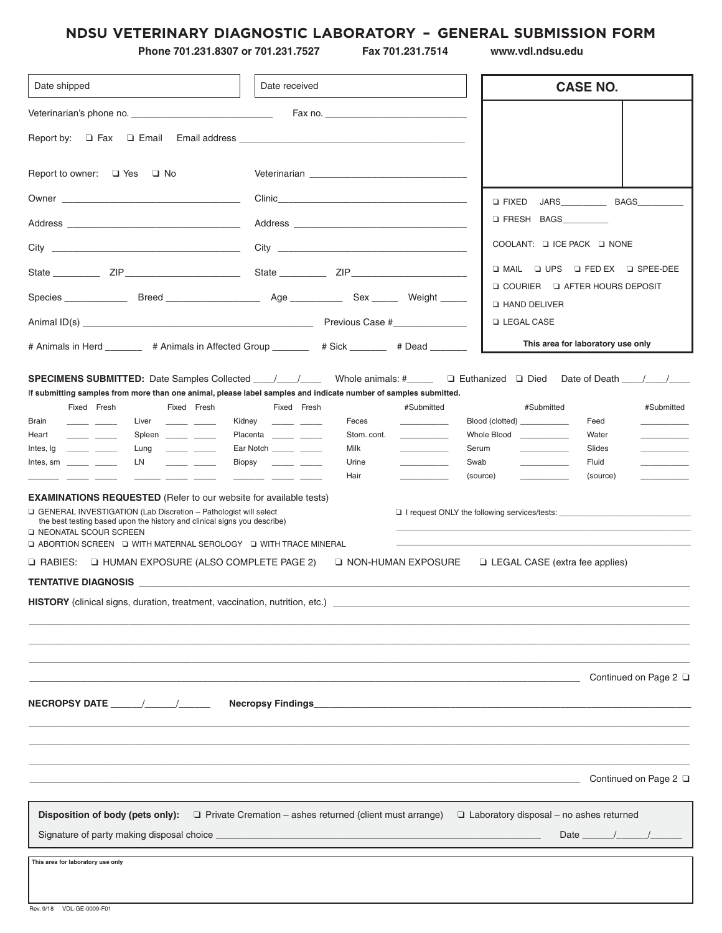## **NDSU VETERINARY DIAGNOSTIC LABORATORY – GENERAL SUBMISSION FORM**

**Phone 701.231.8307 or 701.231.7527 Fax 701.231.7514 www.vdl.ndsu.edu**

| Date shipped                                                                                                                                                                                                                                                                                                                                                                                                                                                                                                                                                                                                                                                                                                                                                   | Date received                                             |                                  | <b>CASE NO.</b>                                                                                                                                                                                                                    |  |  |  |
|----------------------------------------------------------------------------------------------------------------------------------------------------------------------------------------------------------------------------------------------------------------------------------------------------------------------------------------------------------------------------------------------------------------------------------------------------------------------------------------------------------------------------------------------------------------------------------------------------------------------------------------------------------------------------------------------------------------------------------------------------------------|-----------------------------------------------------------|----------------------------------|------------------------------------------------------------------------------------------------------------------------------------------------------------------------------------------------------------------------------------|--|--|--|
|                                                                                                                                                                                                                                                                                                                                                                                                                                                                                                                                                                                                                                                                                                                                                                |                                                           |                                  |                                                                                                                                                                                                                                    |  |  |  |
|                                                                                                                                                                                                                                                                                                                                                                                                                                                                                                                                                                                                                                                                                                                                                                |                                                           |                                  |                                                                                                                                                                                                                                    |  |  |  |
|                                                                                                                                                                                                                                                                                                                                                                                                                                                                                                                                                                                                                                                                                                                                                                |                                                           |                                  |                                                                                                                                                                                                                                    |  |  |  |
| Report to owner: $\Box$ Yes $\Box$ No                                                                                                                                                                                                                                                                                                                                                                                                                                                                                                                                                                                                                                                                                                                          |                                                           |                                  |                                                                                                                                                                                                                                    |  |  |  |
|                                                                                                                                                                                                                                                                                                                                                                                                                                                                                                                                                                                                                                                                                                                                                                |                                                           |                                  | <b>BAGS</b><br>$\square$ FIXED                                                                                                                                                                                                     |  |  |  |
|                                                                                                                                                                                                                                                                                                                                                                                                                                                                                                                                                                                                                                                                                                                                                                |                                                           |                                  | <b>Q FRESH BAGS</b><br>COOLANT: LICE PACK LINONE<br>Q MAIL Q UPS Q FED EX Q SPEE-DEE                                                                                                                                               |  |  |  |
|                                                                                                                                                                                                                                                                                                                                                                                                                                                                                                                                                                                                                                                                                                                                                                |                                                           |                                  |                                                                                                                                                                                                                                    |  |  |  |
|                                                                                                                                                                                                                                                                                                                                                                                                                                                                                                                                                                                                                                                                                                                                                                |                                                           |                                  |                                                                                                                                                                                                                                    |  |  |  |
|                                                                                                                                                                                                                                                                                                                                                                                                                                                                                                                                                                                                                                                                                                                                                                |                                                           |                                  | <b>Q COURIER Q AFTER HOURS DEPOSIT</b><br><b>D HAND DELIVER</b>                                                                                                                                                                    |  |  |  |
|                                                                                                                                                                                                                                                                                                                                                                                                                                                                                                                                                                                                                                                                                                                                                                |                                                           |                                  | <b>LEGAL CASE</b>                                                                                                                                                                                                                  |  |  |  |
| # Animals in Herd ________ # Animals in Affected Group _______ # Sick _______ # Dead _______                                                                                                                                                                                                                                                                                                                                                                                                                                                                                                                                                                                                                                                                   |                                                           |                                  | This area for laboratory use only                                                                                                                                                                                                  |  |  |  |
| SPECIMENS SUBMITTED: Date Samples Collected ____/___/____ Whole animals: #_____ Q Euthanized Q Died                                                                                                                                                                                                                                                                                                                                                                                                                                                                                                                                                                                                                                                            |                                                           |                                  | Date of Death / /                                                                                                                                                                                                                  |  |  |  |
| If submitting samples from more than one animal, please label samples and indicate number of samples submitted.                                                                                                                                                                                                                                                                                                                                                                                                                                                                                                                                                                                                                                                |                                                           |                                  |                                                                                                                                                                                                                                    |  |  |  |
| Fixed Fresh<br>Fixed Fresh                                                                                                                                                                                                                                                                                                                                                                                                                                                                                                                                                                                                                                                                                                                                     | Fixed Fresh                                               | #Submitted                       | #Submitted<br>#Submitted                                                                                                                                                                                                           |  |  |  |
| <b>Brain</b><br>Liver<br>$\frac{1}{2} \left( \frac{1}{2} \right) \left( \frac{1}{2} \right) \left( \frac{1}{2} \right) \left( \frac{1}{2} \right) \left( \frac{1}{2} \right) \left( \frac{1}{2} \right) \left( \frac{1}{2} \right) \left( \frac{1}{2} \right) \left( \frac{1}{2} \right) \left( \frac{1}{2} \right) \left( \frac{1}{2} \right) \left( \frac{1}{2} \right) \left( \frac{1}{2} \right) \left( \frac{1}{2} \right) \left( \frac{1}{2} \right) \left( \frac{1}{2} \right) \left( \frac$<br>Kidney<br><u> The Common State State State State State State State State State State State State State State State State State State State State State State State State State State State State State State State State State State State</u><br>Heart | Feces<br><u> The Common Section (1989)</u><br>Stom, cont. | <u> Liberal Communication</u>    | Blood (clotted) ____________<br>Feed<br>Whole Blood ___________<br>Water                                                                                                                                                           |  |  |  |
| Spleen ______ ____<br>Intes, Ig<br><u> The Common School (1989)</u><br>$\frac{1}{2} \left( \frac{1}{2} \right) \left( \frac{1}{2} \right) \left( \frac{1}{2} \right) \left( \frac{1}{2} \right) \left( \frac{1}{2} \right) \left( \frac{1}{2} \right) \left( \frac{1}{2} \right) \left( \frac{1}{2} \right) \left( \frac{1}{2} \right) \left( \frac{1}{2} \right) \left( \frac{1}{2} \right) \left( \frac{1}{2} \right) \left( \frac{1}{2} \right) \left( \frac{1}{2} \right) \left( \frac{1}{2} \right) \left( \frac{1}{2} \right) \left( \frac$<br>Lung                                                                                                                                                                                                      | Placenta _______ _____<br>Ear Notch _______ _____<br>Milk | Serum                            | Slides<br>$\overline{\phantom{a}}$                                                                                                                                                                                                 |  |  |  |
| LN.<br>Intes, sm $\frac{1}{\sqrt{1-\frac{1}{2}} \pm 1}$<br>$\frac{1}{2} \left( \frac{1}{2} \right) \left( \frac{1}{2} \right) \left( \frac{1}{2} \right) \left( \frac{1}{2} \right) \left( \frac{1}{2} \right) \left( \frac{1}{2} \right) \left( \frac{1}{2} \right) \left( \frac{1}{2} \right) \left( \frac{1}{2} \right) \left( \frac{1}{2} \right) \left( \frac{1}{2} \right) \left( \frac{1}{2} \right) \left( \frac{1}{2} \right) \left( \frac{1}{2} \right) \left( \frac{1}{2} \right) \left( \frac{1}{2} \right) \left( \frac$                                                                                                                                                                                                                          | Urine<br>Biopsy<br><u> The Common Section (1986)</u>      | Swab<br>$\overline{\phantom{a}}$ | Fluid<br>$\overline{\phantom{a}}$ . The contract of $\overline{\phantom{a}}$                                                                                                                                                       |  |  |  |
|                                                                                                                                                                                                                                                                                                                                                                                                                                                                                                                                                                                                                                                                                                                                                                | Hair                                                      | (source)                         | (source)                                                                                                                                                                                                                           |  |  |  |
| <b>EXAMINATIONS REQUESTED</b> (Refer to our website for available tests)<br>□ GENERAL INVESTIGATION (Lab Discretion - Pathologist will select<br>the best testing based upon the history and clinical signs you describe)<br><b>LI NEONATAL SCOUR SCREEN</b><br>O ABORTION SCREEN O WITH MATERNAL SEROLOGY O WITH TRACE MINERAL                                                                                                                                                                                                                                                                                                                                                                                                                                |                                                           |                                  | □ I request ONLY the following services/tests: _________________________________                                                                                                                                                   |  |  |  |
| □ RABIES: □ HUMAN EXPOSURE (ALSO COMPLETE PAGE 2)                                                                                                                                                                                                                                                                                                                                                                                                                                                                                                                                                                                                                                                                                                              |                                                           | I NON-HUMAN EXPOSURE             | LEGAL CASE (extra fee applies)                                                                                                                                                                                                     |  |  |  |
|                                                                                                                                                                                                                                                                                                                                                                                                                                                                                                                                                                                                                                                                                                                                                                |                                                           |                                  |                                                                                                                                                                                                                                    |  |  |  |
| HISTORY (clinical signs, duration, treatment, vaccination, nutrition, etc.) [1989] [2009] [2009] [2009] [2009] [2009] [2009] [2009] [2009] [2009] [2009] [2009] [2009] [2009] [2009] [2009] [2009] [2009] [2009] [2009] [2009]                                                                                                                                                                                                                                                                                                                                                                                                                                                                                                                                 |                                                           |                                  |                                                                                                                                                                                                                                    |  |  |  |
|                                                                                                                                                                                                                                                                                                                                                                                                                                                                                                                                                                                                                                                                                                                                                                |                                                           |                                  |                                                                                                                                                                                                                                    |  |  |  |
|                                                                                                                                                                                                                                                                                                                                                                                                                                                                                                                                                                                                                                                                                                                                                                |                                                           |                                  | Continued on Page 2 $\Box$                                                                                                                                                                                                         |  |  |  |
|                                                                                                                                                                                                                                                                                                                                                                                                                                                                                                                                                                                                                                                                                                                                                                |                                                           |                                  | Necropsy Findings <b>Executive Services Contract Contract Contract Contract Contract Contract Contract Contract Contract Contract Contract Contract Contract Contract Contract Contract Contract Contract Contract Contract Co</b> |  |  |  |
|                                                                                                                                                                                                                                                                                                                                                                                                                                                                                                                                                                                                                                                                                                                                                                |                                                           |                                  |                                                                                                                                                                                                                                    |  |  |  |
|                                                                                                                                                                                                                                                                                                                                                                                                                                                                                                                                                                                                                                                                                                                                                                |                                                           |                                  |                                                                                                                                                                                                                                    |  |  |  |
|                                                                                                                                                                                                                                                                                                                                                                                                                                                                                                                                                                                                                                                                                                                                                                |                                                           |                                  | Continued on Page 2 $\Box$                                                                                                                                                                                                         |  |  |  |
| <b>Disposition of body (pets only):</b> $\Box$ Private Cremation – ashes returned (client must arrange)                                                                                                                                                                                                                                                                                                                                                                                                                                                                                                                                                                                                                                                        |                                                           |                                  | $\Box$ Laboratory disposal – no ashes returned                                                                                                                                                                                     |  |  |  |
|                                                                                                                                                                                                                                                                                                                                                                                                                                                                                                                                                                                                                                                                                                                                                                |                                                           |                                  | Date $\frac{1}{\sqrt{2\pi}}$                                                                                                                                                                                                       |  |  |  |
| This area for laboratory use only                                                                                                                                                                                                                                                                                                                                                                                                                                                                                                                                                                                                                                                                                                                              |                                                           |                                  |                                                                                                                                                                                                                                    |  |  |  |
|                                                                                                                                                                                                                                                                                                                                                                                                                                                                                                                                                                                                                                                                                                                                                                |                                                           |                                  |                                                                                                                                                                                                                                    |  |  |  |